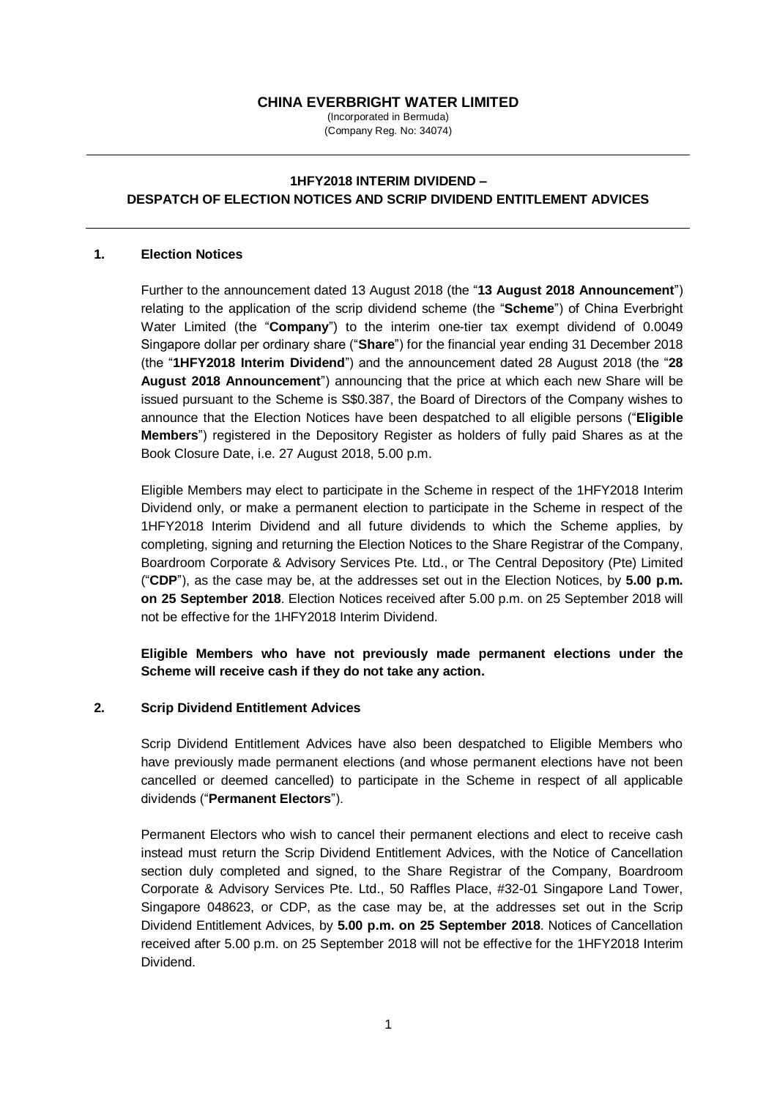# **CHINA EVERBRIGHT WATER LIMITED**

(Incorporated in Bermuda) (Company Reg. No: 34074)

# **1HFY2018 INTERIM DIVIDEND – DESPATCH OF ELECTION NOTICES AND SCRIP DIVIDEND ENTITLEMENT ADVICES**

#### **1. Election Notices**

Further to the announcement dated 13 August 2018 (the "**13 August 2018 Announcement**") relating to the application of the scrip dividend scheme (the "**Scheme**") of China Everbright Water Limited (the "**Company**") to the interim one-tier tax exempt dividend of 0.0049 Singapore dollar per ordinary share ("**Share**") for the financial year ending 31 December 2018 (the "**1HFY2018 Interim Dividend**") and the announcement dated 28 August 2018 (the "**28 August 2018 Announcement**") announcing that the price at which each new Share will be issued pursuant to the Scheme is S\$0.387, the Board of Directors of the Company wishes to announce that the Election Notices have been despatched to all eligible persons ("**Eligible Members**") registered in the Depository Register as holders of fully paid Shares as at the Book Closure Date, i.e. 27 August 2018, 5.00 p.m.

Eligible Members may elect to participate in the Scheme in respect of the 1HFY2018 Interim Dividend only, or make a permanent election to participate in the Scheme in respect of the 1HFY2018 Interim Dividend and all future dividends to which the Scheme applies, by completing, signing and returning the Election Notices to the Share Registrar of the Company, Boardroom Corporate & Advisory Services Pte. Ltd., or The Central Depository (Pte) Limited ("**CDP**"), as the case may be, at the addresses set out in the Election Notices, by **5.00 p.m. on 25 September 2018**. Election Notices received after 5.00 p.m. on 25 September 2018 will not be effective for the 1HFY2018 Interim Dividend.

**Eligible Members who have not previously made permanent elections under the Scheme will receive cash if they do not take any action.** 

### **2. Scrip Dividend Entitlement Advices**

Scrip Dividend Entitlement Advices have also been despatched to Eligible Members who have previously made permanent elections (and whose permanent elections have not been cancelled or deemed cancelled) to participate in the Scheme in respect of all applicable dividends ("**Permanent Electors**").

Permanent Electors who wish to cancel their permanent elections and elect to receive cash instead must return the Scrip Dividend Entitlement Advices, with the Notice of Cancellation section duly completed and signed, to the Share Registrar of the Company, Boardroom Corporate & Advisory Services Pte. Ltd., 50 Raffles Place, #32-01 Singapore Land Tower, Singapore 048623, or CDP, as the case may be, at the addresses set out in the Scrip Dividend Entitlement Advices, by **5.00 p.m. on 25 September 2018**. Notices of Cancellation received after 5.00 p.m. on 25 September 2018 will not be effective for the 1HFY2018 Interim Dividend.